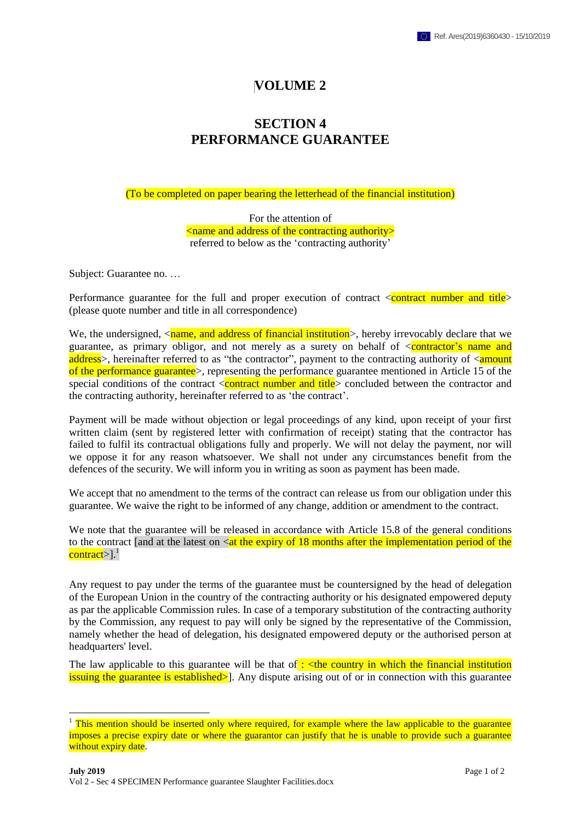## **VOLUME 2**

## **SECTION 4 PERFORMANCE GUARANTEE**

(To be completed on paper bearing the letterhead of the financial institution)

For the attention of <name and address of the contracting authority> referred to below as the 'contracting authority'

Subject: Guarantee no. …

1

Performance guarantee for the full and proper execution of contract  $\alpha$  sum  $\alpha$  and title  $\alpha$ (please quote number and title in all correspondence)

We, the undersigned,  $\langle$ name, and address of financial institution $\rangle$ , hereby irrevocably declare that we guarantee, as primary obligor, and not merely as a surety on behalf of  $\leq$  contractor's name and address>, hereinafter referred to as "the contractor", payment to the contracting authority of <amount of the performance guarantee>, representing the performance guarantee mentioned in Article 15 of the special conditions of the contract  $\langle$  contract number and title $\rangle$  concluded between the contractor and the contracting authority, hereinafter referred to as 'the contract'.

Payment will be made without objection or legal proceedings of any kind, upon receipt of your first written claim (sent by registered letter with confirmation of receipt) stating that the contractor has failed to fulfil its contractual obligations fully and properly. We will not delay the payment, nor will we oppose it for any reason whatsoever. We shall not under any circumstances benefit from the defences of the security. We will inform you in writing as soon as payment has been made.

We accept that no amendment to the terms of the contract can release us from our obligation under this guarantee. We waive the right to be informed of any change, addition or amendment to the contract.

We note that the guarantee will be released in accordance with Article 15.8 of the general conditions to the contract [and at the latest on  $\langle$  at the expiry of 18 months after the implementation period of the contract>].<sup>1</sup>

Any request to pay under the terms of the guarantee must be countersigned by the head of delegation of the European Union in the country of the contracting authority or his designated empowered deputy as par the applicable Commission rules. In case of a temporary substitution of the contracting authority by the Commission, any request to pay will only be signed by the representative of the Commission, namely whether the head of delegation, his designated empowered deputy or the authorised person at headquarters' level.

The law applicable to this guarantee will be that of  $\cdot$  <the country in which the financial institution issuing the guarantee is established>]. Any dispute arising out of or in connection with this guarantee

<sup>&</sup>lt;sup>1</sup> This mention should be inserted only where required, for example where the law applicable to the guarantee imposes a precise expiry date or where the guarantor can justify that he is unable to provide such a guarantee without expiry date.